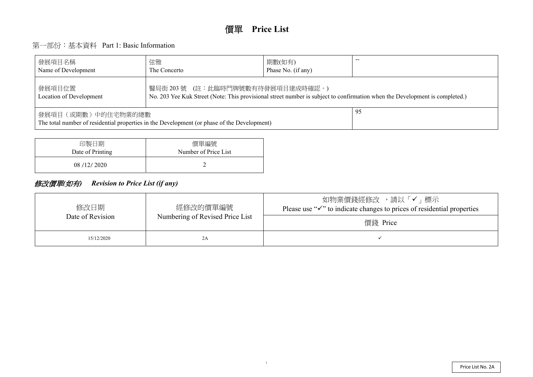# 第一部份:基本資料 Part 1: Basic Information

| 發展項目名稱<br>Name of Development                                                                                                                                                 | 弦雅<br>The Concerto | 期數(如有)<br>Phase No. (if any) |  |  |  |  |  |  |  |  |
|-------------------------------------------------------------------------------------------------------------------------------------------------------------------------------|--------------------|------------------------------|--|--|--|--|--|--|--|--|
| 醫局街 203 號 (註:此臨時門牌號數有待發展項目建成時確認。)<br>發展項目位置<br>No. 203 Yee Kuk Street (Note: This provisional street number is subject to confirmation when the De<br>Location of Development |                    |                              |  |  |  |  |  |  |  |  |
| 發展項目(或期數)中的住宅物業的總數<br>The total number of residential properties in the Development (or phase of the Development)                                                             |                    |                              |  |  |  |  |  |  |  |  |

| 印製日期             | 價單編號                 |
|------------------|----------------------|
| Date of Printing | Number of Price List |
| 08/12/2020       |                      |

# 修改價單*(*如有*) Revision to Price List (if any)*

| 修改日期<br>Date of Revision | 經修改的價單編號<br>Numbering of Revised Price List | ,請し<br>如物業價錢經修改<br>Please use " $\checkmark$ " to indicate changes to pric<br>價錢 Price |
|--------------------------|---------------------------------------------|----------------------------------------------------------------------------------------|
| 15/12/2020               | 2A                                          |                                                                                        |

evelopment is completed.)

メ「√」標示 ees of residential properties

1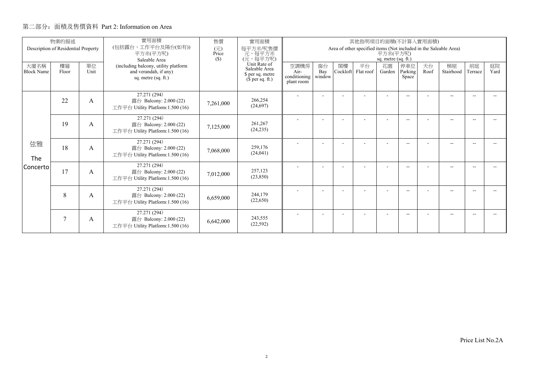|                           | 物業的描述<br>Description of Residential Property |            | 實用面積<br>(包括露台,工作平台及陽台(如有))                                                           | 售價<br>實用面積<br>其他指明項目的面積(不計算入實用面積) |                                                                       |                                                                                                      |                     |                |                 |              |                          |            |                 |               |            |
|---------------------------|----------------------------------------------|------------|--------------------------------------------------------------------------------------|-----------------------------------|-----------------------------------------------------------------------|------------------------------------------------------------------------------------------------------|---------------------|----------------|-----------------|--------------|--------------------------|------------|-----------------|---------------|------------|
|                           |                                              |            | 平方米(平方呎)<br>Saleable Area                                                            | (元)<br>Price<br>(S)               | 每平方米/呎售價<br>元,每平方米<br>(元,每平方呎)                                        | Area of other specified items (Not included in the Saleable Area)<br>平方米(平方呎)<br>sq. metre (sq. ft.) |                     |                |                 |              |                          |            |                 |               |            |
| 大廈名稱<br><b>Block Name</b> | 樓層<br>Floor                                  | 單位<br>Unit | (including balcony, utility platform<br>and verandah, if any)<br>sq. metre (sq. ft.) |                                   | Unit Rate of<br>Saleable Area<br>\$ per sq. metre<br>$$$ per sq. ft.) | 空調機房<br>Air-<br>conditioning<br>plant room                                                           | 窗台<br>Bay<br>window | 閣樓<br>Cockloft | 平台<br>Flat roof | 花園<br>Garden | 停車位<br>Parking<br>Space  | 天台<br>Roof | 梯屋<br>Stairhood | 前庭<br>Terrace | 庭院<br>Yard |
|                           | 22                                           | A          | 27.271 (294)<br>露台 Balcony: 2.000 (22)<br>工作平台 Utility Platform: 1.500 (16)          | 7,261,000                         | 266,254<br>(24,697)                                                   |                                                                                                      |                     |                |                 |              | $-1$                     |            | $-$             |               |            |
|                           | 19                                           | A          | 27.271 (294)<br>露台 Balcony: 2.000 (22)<br>工作平台 Utility Platform: 1.500 (16)          | 7,125,000                         | 261,267<br>(24, 235)                                                  |                                                                                                      |                     |                |                 |              | $\overline{\phantom{a}}$ |            | $-$             |               |            |
| 弦雅<br>The                 | 18                                           | A          | 27.271 (294)<br>露台 Balcony: 2.000 (22)<br>工作平台 Utility Platform:1.500 (16)           | 7,068,000                         | 259,176<br>(24, 041)                                                  |                                                                                                      |                     |                |                 |              | $\overline{\phantom{a}}$ |            | $-$             | -44           |            |
| Concerto                  | 17                                           | A          | 27.271 (294)<br>露台 Balcony: 2.000 (22)<br>工作平台 Utility Platform:1.500 (16)           | 7,012,000                         | 257,123<br>(23,850)                                                   |                                                                                                      |                     |                |                 |              | $\overline{\phantom{a}}$ |            | $-$             |               |            |
|                           | 8                                            | A          | 27.271 (294)<br>露台 Balcony: 2.000 (22)<br>工作平台 Utility Platform:1.500 (16)           | 6,659,000                         | 244,179<br>(22,650)                                                   |                                                                                                      |                     |                |                 |              | $- -$                    |            | $- -$           |               |            |
|                           | 7                                            | A          | 27.271 (294)<br>露台 Balcony: 2.000 (22)<br>工作平台 Utility Platform:1.500 (16)           | 6,642,000                         | 243,555<br>(22, 592)                                                  |                                                                                                      |                     |                |                 |              | $-$                      |            | $-$             |               |            |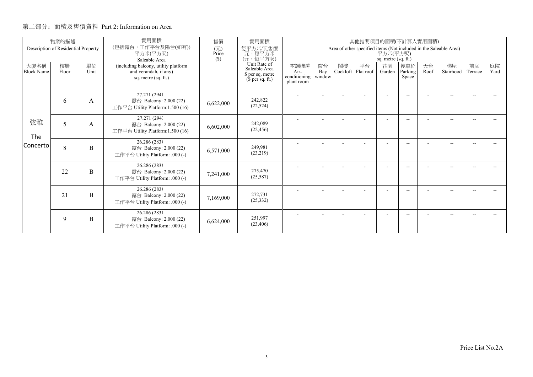|                           | 物業的描述                               |            | 實用面積                                                                                 | 售價           | 實用面積                                                                                                                 | 其他指明項目的面積(不計算入實用面積)                                                                                  |                          |                |                 |                          |                          |            |                 |               |            |  |
|---------------------------|-------------------------------------|------------|--------------------------------------------------------------------------------------|--------------|----------------------------------------------------------------------------------------------------------------------|------------------------------------------------------------------------------------------------------|--------------------------|----------------|-----------------|--------------------------|--------------------------|------------|-----------------|---------------|------------|--|
|                           | Description of Residential Property |            | (包括露台,工作平台及陽台(如有))<br>平方米(平方呎)<br>Saleable Area                                      | (元)<br>Price | 每平方米/呎售價<br>一元, 每平方米<br>(元, 每平方呎)<br>$(\$)$<br>Unit Rate of<br>Saleable Area<br>\$ per sq. metre<br>$$$ per sq. ft.) | Area of other specified items (Not included in the Saleable Area)<br>平方米(平方呎)<br>sq. metre (sq. ft.) |                          |                |                 |                          |                          |            |                 |               |            |  |
| 大廈名稱<br><b>Block Name</b> | 樓層<br>Floor                         | 單位<br>Unit | (including balcony, utility platform<br>and verandah, if any)<br>sq. metre (sq. ft.) |              |                                                                                                                      | 空調機房<br>Air-<br>conditioning  <br>plant room                                                         | 窗台<br>Bay<br>window      | 閣樓<br>Cockloft | 平台<br>Flat roof | 花園<br>Garden             | 停車位<br>Parking<br>Space  | 天台<br>Roof | 梯屋<br>Stairhood | 前庭<br>Terrace | 庭院<br>Yard |  |
|                           | 6                                   | A          | 27.271 (294)<br>露台 Balcony: 2.000 (22)<br>工作平台 Utility Platform:1.500 (16)           | 6,622,000    | 242,822<br>(22, 524)                                                                                                 | $\overline{\phantom{a}}$                                                                             | $\blacksquare$           |                | ۰               | $\overline{\phantom{a}}$ | $\frac{1}{2}$            |            | $-$             | $\sim$        |            |  |
| 弦雅<br>The                 | 5                                   | А          | 27.271 (294)<br>露台 Balcony: 2.000 (22)<br>工作平台 Utility Platform:1.500 (16)           | 6,602,000    | 242,089<br>(22, 456)                                                                                                 |                                                                                                      |                          |                |                 | ۰                        | $- -$                    |            | $- -$           |               |            |  |
| Concerto                  | 8                                   | B          | 26.286 (283)<br>露台 Balcony: 2.000 (22)<br>工作平台 Utility Platform: .000 (-)            | 6,571,000    | 249.981<br>(23,219)                                                                                                  |                                                                                                      |                          |                |                 |                          | $\overline{\phantom{a}}$ |            | $-$             |               |            |  |
|                           | 22                                  | B          | 26.286 (283)<br>露台 Balcony: 2.000 (22)<br>工作平台 Utility Platform: .000 (-)            | 7,241,000    | 275,470<br>(25, 587)                                                                                                 |                                                                                                      | $\overline{\phantom{a}}$ |                |                 | $\sim$                   | $\overline{\phantom{a}}$ |            | $-$             | --            |            |  |
|                           | 21                                  | B          | 26.286 (283)<br>露台 Balcony: 2.000 (22)<br>工作平台 Utility Platform: .000 (-)            | 7,169,000    | 272,731<br>(25, 332)                                                                                                 |                                                                                                      |                          |                |                 | ۰                        | $- -$                    |            | $-$             |               |            |  |
|                           | 9                                   | B          | 26.286 (283)<br>露台 Balcony: 2.000 (22)<br>工作平台 Utility Platform: .000 (-)            | 6,624,000    | 251.997<br>(23, 406)                                                                                                 |                                                                                                      |                          |                |                 |                          | --                       |            | --              |               |            |  |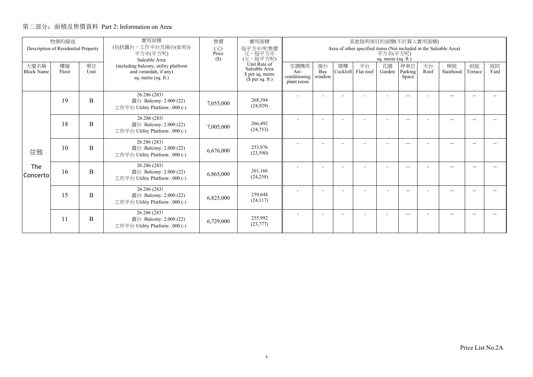|                           | 物業的描述<br>Description of Residential Property |            | 實用面積<br>(包括露台,工作平台及陽台(如有))                                                           | 售價<br>實用面積<br>其他指明項目的面積(不計算入實用面積) |                                                                       |                                                                                                      |                     |                |                 |              |                          |            |                 |               |            |
|---------------------------|----------------------------------------------|------------|--------------------------------------------------------------------------------------|-----------------------------------|-----------------------------------------------------------------------|------------------------------------------------------------------------------------------------------|---------------------|----------------|-----------------|--------------|--------------------------|------------|-----------------|---------------|------------|
|                           |                                              |            | 平方米(平方呎)<br>Saleable Area                                                            | (元)<br>Price<br>(S)               | 每平方米/呎售價<br>元,每平方米<br>(元,每平方呎)                                        | Area of other specified items (Not included in the Saleable Area)<br>平方米(平方呎)<br>sq. metre (sq. ft.) |                     |                |                 |              |                          |            |                 |               |            |
| 大廈名稱<br><b>Block Name</b> | 樓層<br>Floor                                  | 單位<br>Unit | (including balcony, utility platform<br>and verandah, if any)<br>sq. metre (sq. ft.) |                                   | Unit Rate of<br>Saleable Area<br>\$ per sq. metre<br>$$$ per sq. ft.) | 空調機房<br>Air-<br>conditioning<br>plant room                                                           | 窗台<br>Bay<br>window | 閣樓<br>Cockloft | 平台<br>Flat roof | 花園<br>Garden | 停車位<br>Parking<br>Space  | 天台<br>Roof | 梯屋<br>Stairhood | 前庭<br>Terrace | 庭院<br>Yard |
|                           | 19                                           | B          | 26.286 (283)<br>露台 Balcony: 2.000 (22)<br>工作平台 Utility Platform: .000 (-)            | 7,055,000                         | 268,394<br>(24, 929)                                                  |                                                                                                      |                     |                |                 |              | $-1$                     |            | $-$             |               |            |
|                           | 18                                           | B          | 26.286 (283)<br>露台 Balcony: 2.000 (22)<br>工作平台 Utility Platform: .000 (-)            | 7,005,000                         | 266,492<br>(24,753)                                                   |                                                                                                      |                     |                |                 |              | $\overline{\phantom{a}}$ |            | $-$             |               |            |
| 弦雅                        | 10                                           | B          | 26.286 (283)<br>露台 Balcony: 2.000 (22)<br>工作平台 Utility Platform: .000 (-)            | 6,676,000                         | 253,976<br>(23,590)                                                   |                                                                                                      |                     |                |                 |              | $\overline{\phantom{a}}$ |            | $-$             | -44           |            |
| The<br>l Concerto         | 16                                           | B          | 26.286 (283)<br>露台 Balcony: 2.000 (22)<br>工作平台 Utility Platform: .000 (-)            | 6,865,000                         | 261,166<br>(24, 258)                                                  |                                                                                                      |                     |                |                 | ۰            | $\overline{\phantom{a}}$ |            | $-$             |               |            |
|                           | 15                                           | B          | 26.286 (283)<br>露台 Balcony: 2.000 (22)<br>工作平台 Utility Platform: .000 (-)            | 6,825,000                         | 259,644<br>(24, 117)                                                  |                                                                                                      |                     |                |                 |              | $- -$                    |            | $- -$           |               |            |
|                           | 11                                           | B          | 26.286 (283)<br>露台 Balcony: 2.000 (22)<br>工作平台 Utility Platform: .000 (-)            | 6,729,000                         | 255,992<br>(23, 777)                                                  |                                                                                                      |                     |                |                 |              | $-$                      |            | $-$             |               |            |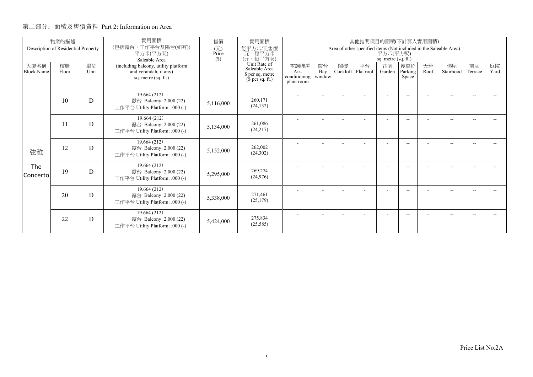|                           | 物業的描述                               |            | 實用面積                                                                                                  | 售價           | 實用面積                                                                                                             |                                            |                     |                | 其他指明項目的面積(不計算入實用面積)                                               |                                 |                          |            |                 |               |            |
|---------------------------|-------------------------------------|------------|-------------------------------------------------------------------------------------------------------|--------------|------------------------------------------------------------------------------------------------------------------|--------------------------------------------|---------------------|----------------|-------------------------------------------------------------------|---------------------------------|--------------------------|------------|-----------------|---------------|------------|
|                           | Description of Residential Property |            | (包括露台,工作平台及陽台(如有))<br>平方米(平方呎)                                                                        | (元)<br>Price | 每平方米/呎售價<br>元, 每平方米<br>(元, 每平方呎)<br>(S)<br>Unit Rate of<br>Saleable Area<br>\$ per sq. metre<br>$$$ per sq. ft.) |                                            |                     |                | Area of other specified items (Not included in the Saleable Area) | 平方米(平方呎)<br>sq. metre (sq. ft.) |                          |            |                 |               |            |
| 大廈名稱<br><b>Block Name</b> | 樓層<br>Floor                         | 單位<br>Unit | Saleable Area<br>(including balcony, utility platform<br>and verandah, if any)<br>sq. metre (sq. ft.) |              |                                                                                                                  | 空調機房<br>Air-<br>conditioning<br>plant room | 窗台<br>Bay<br>window | 閣樓<br>Cockloft | 平台<br>Flat roof                                                   | 花園<br>Garden                    | 停車位<br>Parking<br>Space  | 天台<br>Roof | 梯屋<br>Stairhood | 前庭<br>Terrace | 庭院<br>Yard |
|                           | 10                                  | D          | 19.664 (212)<br>露台 Balcony: 2.000 (22)<br>工作平台 Utility Platform: .000 (-)                             | 5,116,000    | 260,171<br>(24, 132)                                                                                             |                                            | ۰                   |                | ٠                                                                 | $\overline{\phantom{a}}$        | $\overline{\phantom{a}}$ |            | $-$             | $\sim$        |            |
|                           | 11                                  | D          | 19.664 (212)<br>露台 Balcony: 2.000 (22)<br>工作平台 Utility Platform: .000 (-)                             | 5,134,000    | 261,086<br>(24,217)                                                                                              |                                            |                     |                |                                                                   |                                 | $- -$                    |            | $-$             |               |            |
| 弦雅                        | 12                                  | D          | 19.664(212)<br>露台 Balcony: 2.000 (22)<br>工作平台 Utility Platform: .000 (-)                              | 5,152,000    | 262,002<br>(24, 302)                                                                                             |                                            |                     |                |                                                                   |                                 | $\overline{\phantom{a}}$ |            | $-$             |               |            |
| The<br>Concerto           | 19                                  | D          | 19.664 (212)<br>露台 Balcony: 2.000 (22)<br>工作平台 Utility Platform: .000 (-)                             | 5,295,000    | 269,274<br>(24, 976)                                                                                             |                                            |                     |                |                                                                   |                                 | $\overline{\phantom{a}}$ |            | $-$             |               |            |
|                           | 20                                  | D          | 19.664 (212)<br>露台 Balcony: 2.000 (22)<br>工作平台 Utility Platform: .000 (-)                             | 5,338,000    | 271,461<br>(25, 179)                                                                                             |                                            |                     |                |                                                                   | ۰                               | $\overline{\phantom{a}}$ |            | $-$             |               |            |
|                           | 22                                  | D          | 19.664 (212)<br>露台 Balcony: 2.000 (22)<br>工作平台 Utility Platform: .000 (-)                             | 5,424,000    | 275,834<br>(25, 585)                                                                                             |                                            |                     |                |                                                                   | ٠                               | $- -$                    |            | $- -$           |               |            |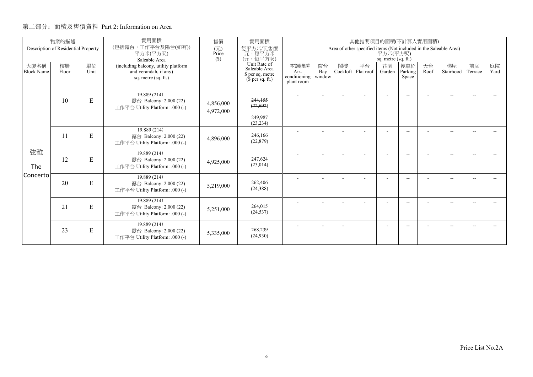|                           | 物業的描述                               |            | 實用面積                                                                                 | 售價                                    | 實用面積<br>其他指明項目的面積(不計算入實用面積)                                                                             |                                                                                                        |                     |                |                 |                |                          |            |                 |               |            |  |  |  |
|---------------------------|-------------------------------------|------------|--------------------------------------------------------------------------------------|---------------------------------------|---------------------------------------------------------------------------------------------------------|--------------------------------------------------------------------------------------------------------|---------------------|----------------|-----------------|----------------|--------------------------|------------|-----------------|---------------|------------|--|--|--|
|                           | Description of Residential Property |            | (包括露台,工作平台及陽台(如有))<br>平方米(平方呎)<br>Saleable Area                                      | $(\overline{\pi})$<br>Price<br>$(\$)$ | 每平方米/呎售價<br>元,每平方米<br>(元,每平方呎)<br>Unit Rate of<br>Saleable Area<br>\$ per sq. metre<br>$$$ per sq. ft.) | Area of other specified items (Not included in the Saleable Area)<br>平方米(平方呎)<br>sq. metre $(sq. ft.)$ |                     |                |                 |                |                          |            |                 |               |            |  |  |  |
| 大廈名稱<br><b>Block Name</b> | 樓層<br>Floor                         | 單位<br>Unit | (including balcony, utility platform<br>and verandah, if any)<br>sq. metre (sq. ft.) |                                       |                                                                                                         | 空調機房<br>Air-<br>conditioning<br>plant room                                                             | 窗台<br>Bay<br>window | 閣樓<br>Cockloft | 平台<br>Flat roof | 花園<br>Garden   | 停車位<br>Parking<br>Space  | 天台<br>Roof | 梯屋<br>Stairhood | 前庭<br>Terrace | 庭院<br>Yard |  |  |  |
|                           | 10                                  | ${\bf E}$  | 19.889 (214)<br>露台 Balcony: 2.000 (22)<br>工作平台 Utility Platform: .000 (-)            | 4,856,000<br>4,972,000                | 244,155<br>(22, 692)<br>249.987<br>(23, 234)                                                            |                                                                                                        | $\overline{a}$      |                |                 | $\overline{a}$ | $\overline{a}$           |            | $-$             | $\sim$ $\sim$ |            |  |  |  |
|                           | 11                                  | E          | 19.889 (214)<br>露台 Balcony: 2.000 (22)<br>工作平台 Utility Platform: .000 (-)            | 4,896,000                             | 246,166<br>(22, 879)                                                                                    |                                                                                                        |                     |                |                 |                | $-$                      |            | --              |               |            |  |  |  |
| 弦雅<br>The                 | 12                                  | ${\bf E}$  | 19.889 (214)<br>露台 Balcony: 2.000 (22)<br>工作平台 Utility Platform: .000 (-)            | 4,925,000                             | 247,624<br>(23,014)                                                                                     |                                                                                                        |                     |                |                 |                | $\overline{\phantom{a}}$ |            | $-$             |               |            |  |  |  |
| Concerto                  | 20                                  | ${\bf E}$  | 19.889 (214)<br>露台 Balcony: 2.000 (22)<br>工作平台 Utility Platform: .000 (-)            | 5,219,000                             | 262,406<br>(24, 388)                                                                                    |                                                                                                        |                     |                |                 |                | $\overline{\phantom{a}}$ |            | $-$             |               |            |  |  |  |
|                           | 21                                  | E          | 19.889 (214)<br>露台 Balcony: 2.000 (22)<br>工作平台 Utility Platform: .000 (-)            | 5,251,000                             | 264,015<br>(24, 537)                                                                                    |                                                                                                        |                     |                |                 |                | $\frac{1}{2}$            |            | $-$             |               |            |  |  |  |
|                           | 23                                  | ${\bf E}$  | 19.889 (214)<br>露台 Balcony: 2.000 (22)<br>工作平台 Utility Platform: .000 (-)            | 5,335,000                             | 268,239<br>(24,930)                                                                                     |                                                                                                        |                     |                |                 |                | --                       |            | --              |               |            |  |  |  |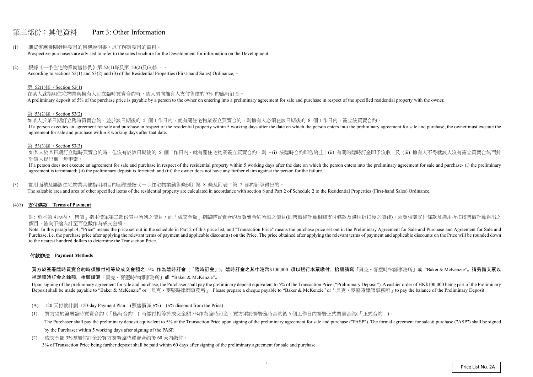# 第三部份:其他資料 Part 3: Other Information

- (1) 準買家應參閱發展項目的售樓說明書,以了解該項目的資料。 Prospective purchasers are advised to refer to the sales brochure for the Development for information on the Development.
- (2) 根據《一手住宅物業銷售條例》第 52(1)條及第 53(2)及(3)條, According to sections 52(1) and 53(2) and (3) of the Residential Properties (First-hand Sales) Ordinance, –

### 第 52(1)條 / Section 52(1)

在某人就指明住宅物業與擁有人訂立臨時買賣合約時,該人須向擁有人支付售價的 5% 的臨時訂金。 A preliminary deposit of 5% of the purchase price is payable by a person to the owner on entering into a preliminary agreement for sale and purchase in respect of the specified residential property with the owner.

如某人於某日期訂立臨時買賣合約,並於該日期後的 5 個工作日內,就有關住宅物業簽立買賣合約,則擁有人必須在該日期後的 8 個工作日內,簽立該買賣合約。 If a person executes an agreement for sale and purchase in respect of the residential property within 5 working days after the date on which the person enters into the preliminary agreement for sale and purchase, the owner agreement for sale and purchase within 8 working days after that date.

如某人於某日期訂立臨時買賣合約時,但沒有於該日期後的 5 個工作日内,就有關住宅物業簽立買賣合約,則 –(i) 該臨時合約即告終止;(ii) 有關的臨時訂金即予沒收;及 (iii) 擁有人不得就該人沒有簽立買賣合約而針 對該人提出進一步申索。

#### 第 53(2)條 / Section 53(2)

If a person does not execute an agreement for sale and purchase in respect of the residential property within 5 working days after the date on which the person enters into the preliminary agreement for sale and purchase- ( agreement is terminated; (ii) the preliminary deposit is forfeited; and (iii) the owner does not have any further claim against the person for the failure.

註: 於本第4段内,「售價」指本價單第二部份表中所列之價目,而「成交金額」指臨時買賣合約及買賣合約所載之價目(即售價經計算相關支付條款及適用折扣後之價錢)。因應相關支付條款及適用折扣按售價計算得出之 價目,皆向下捨入計至百位數作為成交金額。

#### 第 53(3)條 / Section 53(3)

Note: In this paragraph 4, "Price" means the price set out in the schedule in Part 2 of this price list, and "Transaction Price" means the purchase price set out in the Preliminary Agreement for Sale and Purchase and Agree Purchase, i.e. the purchase price after applying the relevant terms of payment and applicable discount(s) on the Price. The price obtained after applying the relevant terms of payment and applicable discounts on the Price to the nearest hundred dollars to determine the Transaction Price.

(3) 實用面積及屬該住宅物業其他指明項目的面積是按《一手住宅物業銷售條例》第 8 條及附表二第 2 部的計算得出的。 The saleable area and area of other specified items of the residential property are calculated in accordance with section 8 and Part 2 of Schedule 2 to the Residential Properties (First-hand Sales) Ordinance.

(4)(i) 支付條款 **Terms of Payment** 

## 付款辦法 **Payment Methods**

買方於簽署臨時買賣合約時須繳付相等於成交金額之 5% 作為臨時訂金 (「臨時訂金」)。臨時訂金之其中港幣\$100,000 須以銀行本票繳付,抬頭請寫「貝克・麥堅時律師事務所」或"Baker & McKenzie"。請另備支票以

補足臨時訂金之餘額,抬頭請寫「貝克‧麥堅時律師事務所」或 "Baker & McKenzie"。

Upon signing of the preliminary agreement for sale and purchase, the Purchaser shall pay the preliminary deposit equivalent to 5% of the Transaction Price ("Preliminary Deposit"). A cashier order of HK\$100,000 being part o Deposit shall be made payable to "Baker & McKenzie" or 「貝克·麥堅時律師事務所」. Please prepare a cheque payable to "Baker & McKenzie" or 「貝克·麥堅時律師事務所」to pay the balance of the Preliminary Deposit.

- (A) 120 天付款計劃 120-day Payment Plan (照售價減 5%) (5% discount from the Price)
- (1) 買方須於簽署臨時買賣合約 (「臨時合約」) 時繳付相等於成交金額 5%作為臨時訂金。買方須於簽署臨時合約後 <sup>5</sup> 個工作日內簽署正式買賣合約(「正式合約」)。 The Purchaser shall pay the preliminary deposit equivalent to 5% of the Transaction Price upon signing of the preliminary agreement for sale and purchase ("PASP"). The formal agreement for sale & purchase ("ASP") shall be by the Purchaser within 5 working days after signing of the PASP.
- (2) 成交金額 3%即加付訂金於買方簽署臨時買賣合約後 60 天內繳付。 3% of Transaction Price being further deposit shall be paid within 60 days after signing of the preliminary agreement for sale and purchase.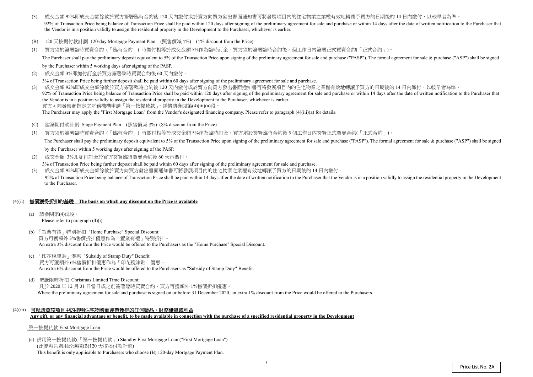$(2)$ 成交金額 3%即加付訂金於買方簽署臨時買賣合約後 <sup>60</sup> 天內繳付。

3% of Transaction Price being further deposit shall be paid within 60 days after signing of the preliminary agreement for sale and purchase.

- (3) 成交金額 92%即成交金額餘款於買方簽署臨時合約後 120 天內繳付或於賣方向買方發出書面通知書可將發展項目內的住宅物業之業權有效地轉讓予買方的日期後的 14 日內繳付,以較早者為準 92% of Transaction Price being balance of Transaction Price shall be paid within 120 days after signing of the preliminary agreement for sale and purchase or within 14 days after the date of written notification to the Pur the Vendor is in a position validly to assign the residential property in the Development to the Purchaser, whichever is earlier.
- (B) 120 天按揭付款計劃 120-day Mortgage Payment Plan (照售價減 1%) (1% discount from the Price)
- (1) 買方須於簽署臨時買賣合約 (「臨時合約」) 時繳付相等於成交金額 5%作為臨時訂金。買方須於簽署臨時合約後 <sup>5</sup> 個工作日內簽署正式買賣合約(「正式合約」)。 The Purchaser shall pay the preliminary deposit equivalent to 5% of the Transaction Price upon signing of the preliminary agreement for sale and purchase ("PASP"). The formal agreement for sale & purchase ("ASP") shall be

by the Purchaser within 5 working days after signing of the PASP.

- $(C)$ 建築期付款計劃 Stage Payment Plan (照售價減 <sup>3</sup>%) (3% discount from the Price)
- (1) 買方須於簽署臨時買賣合約 (「臨時合約」) 時繳付相等於成交金額 5%作為臨時訂金。買方須於簽署臨時合約後 <sup>5</sup> 個工作日內簽署正式買賣合約(「正式合約」)。 The Purchaser shall pay the preliminary deposit equivalent to 5% of the Transaction Price upon signing of the preliminary agreement for sale and purchase ("PASP"). The formal agreement for sale & purchase ("ASP") shall be by the Purchaser within 5 working days after signing of the PASP.
- (2) 成交金額 3%即加付訂金於買方簽署臨時買賣合約後 60 天內繳付。

(3) 成交金額 92%即成交金額餘款於買方簽署臨時合約後 <sup>120</sup> 天內繳付或於賣方向買方發出書面通知書可將發展項目內的住宅物業之業權有效地轉讓予買方的日期後的 <sup>14</sup> 日內繳付,以較早者為準。 92% of Transaction Price being balance of Transaction Price shall be paid within 120 days after signing of the preliminary agreement for sale and purchase or within 14 days after the date of written notification to the Pur the Vendor is in a position validly to assign the residential property in the Development to the Purchaser, whichever is earlier.買方可向發展商指定之財務機構申請「第一按揭貸款」。詳情請參閱第(4)(iii)(a)段。

The Purchaser may apply the "First Mortgage Loan" from the Vendor's designated financing company. Please refer to paragraph (4)(iii)(a) for details.

3% of Transaction Price being further deposit shall be paid within 60 days after signing of the preliminary agreement for sale and purchase.

(3) 成交金額 92%即成交金額餘款於賣方向買方發出書面通知書可將發展項目內的住宅物業之業權有效地轉讓予買方的日期後的 <sup>14</sup> 日內繳付。 92% of Transaction Price being balance of Transaction Price shall be paid within 14 days after the date of written notification to the Purchaser that the Vendor is in a position validly to assign the residential property i to the Purchaser.

# (4)(ii) 售價獲得折扣的基礎 **The basis on which any discount on the Price is available**

- (a) 請參閱第(4)(i)段。 Please refer to paragraph (4)(i).
- (b) 「置業有禮」特別折扣 "Home Purchase" Special Discount: 買方可獲額外 3%售價折扣優惠作為「置業有禮」特別折扣。 An extra 3% discount from the Price would be offered to the Purchasers as the "Home Purchase" Special Discount.
- (c) 「印花稅津貼」優惠 "Subsidy of Stamp Duty" Benefit: 買方可獲額外 6%售價折扣優惠作為「印花稅津貼」優惠。 An extra 6% discount from the Price would be offered to the Purchasers as "Subsidy of Stamp Duty" Benefit.
- (d) 聖誕限時折扣 Christmas Limited Time Discount: 凡於 2020 年 12 月 31 日當日或之前簽署臨時買賣合約,買方可獲額外 1%售價折扣優惠。 Where the preliminary agreement for sale and purchase is signed on or before 31 December 2020, an extra 1% discount from the Price would be offered to the Purchasers.
- (4)(iii) 可就購買該項目中的指明住宅物業而連帶獲得的任何贈品、財務優惠或利益 **Any gift, or any financial advantage or benefit, to be made available in connection with the purchase of a specified residential property in the Development**

## 第一按揭貸款 First Mortgage Loan

(a) 備用第一按揭貸款(「第一按揭貸款」) Standby First Mortgage Loan ("First Mortgage Loan") (此優惠只適用於選擇(B)120 天按揭付款計劃) This benefit is only applicable to Purchasers who choose (B) 120-day Mortgage Payment Plan.

8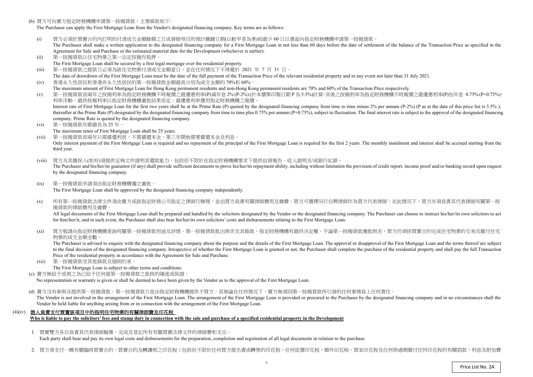(b) 買方可向賣方指定財務機構申請第一按揭貸款。主要條款如下:

The Purchaser can apply the First Mortgage Loan from the Vendor's designated financing company. Key terms are as follows:

- (i)) 買方必須於買賣合約內訂明的付清成交金額餘額之日或發展項目的預計關鍵日期(以較早者為準)前最少 60 日以書面向指定財務機構申請第一按揭貸款。<br>The Purchaser shall make a written application to the designated financing company for a First Mortgage Loan in not less than 60 days before the da The Purchaser shall make a written application to the designated financing company for a First Mortgage Loan in not less than 60 days before the date of settlement of the balance of the Transaction Price as specified in the Agreement for Sale and Purchase or the estimated material date for the Development (whichever is earlier).
- (ii)第一按揭貸款以住宅物業之第一法定按揭作抵押。
- The First Mortgage Loan shall be secured by a first legal mortgage over the residential property.
- (iii)第一按揭貸款之提款日必須為該住宅物業付清成交金額當日,並在任何情況下不得遲於 <sup>2021</sup> <sup>年</sup><sup>7</sup> <sup>月</sup> <sup>31</sup>日。
- The date of drawdown of the First Mortgage Loan must be the date of the full payment of the Transaction Price of the relevant residential property and in any event not later than 31 July 2021.  $(iv)$ 香港永久性居民和香港非永久性居民的第一按揭貸款金額最高分別為成交金額的 70%<sup>和</sup> 60%。
- The maximum amount of First Mortgage Loan for Hong Kong permanent residents and non-Hong Kong permanent residents are 70% and 60% of the Transaction Price respectively.<br>第一位担合教会员每个投提现这些生产的规模建立的一具原子的一个 (v)
- ) 第一按揭貸款首兩年之按揭利率為指定財務機構不時報價之最優惠利率(P)減年息 2% (P-2%) (於本價單印製日期 P 為 5.5%)計算,其後之按揭利率為指定財務機構不時報價之最優惠利率(P)加年息 0.75% (P+0.75%),<br>利率浮動。 最终按規利率以指定財務機構案批結果而定。 景優東利率選用指定財務機構之報價。 利率浮動。最終按揭利率以指定財務機構審批結果而定。最優惠利率選用指定財務機構之報價。Interest rate of First Mortgage Loan for the first two years shall be at the Prime Rate (P) quoted by the designated financing company from time to time minus 2% per annum (P-2%) (P as at the date of this price list is 5.5 thereafter at the Prime Rate (P) designated by the designated financing company from time to time plus 0.75% per annum (P+0.75%), subject to fluctuation. The final interest rate is subject to the approval of the designated company. Prime Rate is quoted by the designated financing company.
- (vi) 第一按揭貸款年期最長為 <sup>25</sup> 年。
	- The maximum tenor of First Mortgage Loan shall be 25 years.
- (vii) 第一按揭貸款首兩年只需償還利息,不需償還本金,第三年開始需要償還本金及利息。Only interest payment of the First Mortgage Loan is required and no repayment of the principal of the First Mortgage Loan is required for the first 2 years. The monthly instalment and interest shall be accrued starting fro third year.
- (viii) 買方及其擔保人(如有)須提供足夠文件證明其還款能力,包括但不限於在指定財務機構要求下提供信貸報告、收入證明及/或銀行紀錄。The Purchaser and his/her/its guarantor (if any) shall provide sufficient documents to prove his/her/its repayment ability, including without limitation the provision of credit report, income proof and/or banking record up by the designated financing company.
- $(ix)$  第一按揭貸款申請須由指定財務機構獨立審批。The First Mortgage Loan shall be approved by the designated financing company independently.
- $(x)$ 所有第一按揭貸款法律文件須由賣方或該指定財務公司指定之律師行辦理,並由買方負責有關律師費用及雜費。買方可選擇另行自聘律師作為買方代表律師,在此情況下,買方亦須負責其代表律師有關第一按 揭貸款的律師費用及雜費。

All legal documents of the First Mortgage Loan shall be prepared and handled by the solicitors designated by the Vendor or the designated financing company. The Purchaser can choose to instruct his/her/its own solicitors t for him/her/it, and in such event, the Purchaser shall also bear his/her/its own solicitors' costs and disbursements relating to the First Mortgage Loan.

 $(x_i)$ 買方敬請向指定財務機構查詢有關第一按揭貸款用途及詳情。第一按揭貸款批出與否及其條款,指定財務機構有最終決定權。不論第一按揭貸款獲批與否,買方仍須按買賣合約完成住宅物業的交易及繳付住宅 物業的成交金額全數。

 $(xii)$  第一按揭貸款受其他條款及細則約束。The First Mortgage Loan is subject to other terms and conditions.

(d) 賣方沒有參與及提供第一按揭貸款。第一按揭貸款只是由指定財務機構提供予買方。而無論在任何情況下,賣方無須因第一按揭貸款所引發的任何事情負上任何責任。 The Vendor is not involved in the arrangement of the First Mortgage Loan. The arrangement of the First Mortgage Loan is provided or procured to the Purchaser by the designated financing company and in no circumstances shal Vendor be held liable for anything arising from or in connection with the arrangement of the First Mortgage Loan.

 The Purchaser is advised to enquire with the designated financing company about the purpose and the details of the First Mortgage Loan. The approval or disapproval of the First Mortgage Loan and the terms thereof are subject to the final decision of the designated financing company. Irrespective of whether the First Mortgage Loan is granted or not, the Purchaser shall complete the purchase of the residential property and shall pay the full Tra Price of the residential property in accordance with the Agreement for Sale and Purchase.

(c) 賣方無給予或視之為已給予任何就第一按揭貸款之批核的陳述或保證。

No representation or warranty is <sup>g</sup>iven or shall be deemed to have been given by the Vendor as to the approval of the First Mortgage Loan.

# (4)(iv) 誰人負責支付買賣該項目中的指明住宅物業的有關律師費及印花稅

**Who is liable to pay the solicitors' fees and stamp duty in connection with the sale and purchase of a specified residential property in the Development** 

1. 買賣雙方各自負責其代表律師擬備、完成及登記所有有關買賣法律文件的律師費和支出。

Each party shall bear and pay its own legal costs and disbursements for the preparation, completion and registration of all legal documents in relation to the purchase.

2. 買方須支付一概有關臨時買賣合約、買賣合約及轉讓契之印花稅(包括但不限於任何買方提名書或轉售的印花稅、任何從價印花稅、額外印花稅、買家印花稅及任何與過期繳付任何印花稅的有關罰款、利息及附加費